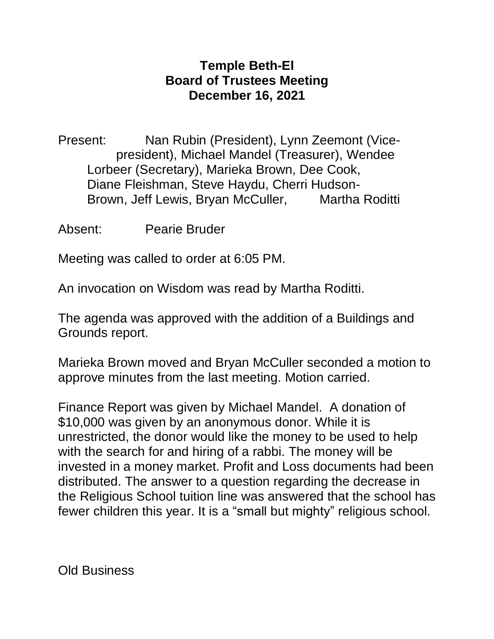## **Temple Beth-El Board of Trustees Meeting December 16, 2021**

Present: Nan Rubin (President), Lynn Zeemont (Vicepresident), Michael Mandel (Treasurer), Wendee Lorbeer (Secretary), Marieka Brown, Dee Cook, Diane Fleishman, Steve Haydu, Cherri Hudson-Brown, Jeff Lewis, Bryan McCuller, Martha Roditti

Absent: Pearie Bruder

Meeting was called to order at 6:05 PM.

An invocation on Wisdom was read by Martha Roditti.

The agenda was approved with the addition of a Buildings and Grounds report.

Marieka Brown moved and Bryan McCuller seconded a motion to approve minutes from the last meeting. Motion carried.

Finance Report was given by Michael Mandel. A donation of \$10,000 was given by an anonymous donor. While it is unrestricted, the donor would like the money to be used to help with the search for and hiring of a rabbi. The money will be invested in a money market. Profit and Loss documents had been distributed. The answer to a question regarding the decrease in the Religious School tuition line was answered that the school has fewer children this year. It is a "small but mighty" religious school.

Old Business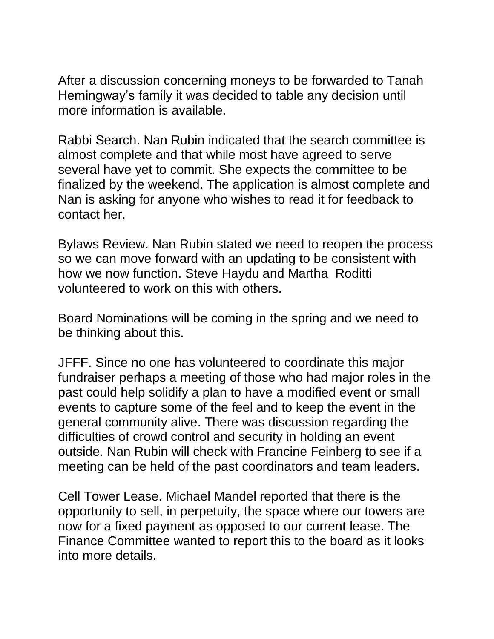After a discussion concerning moneys to be forwarded to Tanah Hemingway's family it was decided to table any decision until more information is available.

Rabbi Search. Nan Rubin indicated that the search committee is almost complete and that while most have agreed to serve several have yet to commit. She expects the committee to be finalized by the weekend. The application is almost complete and Nan is asking for anyone who wishes to read it for feedback to contact her.

Bylaws Review. Nan Rubin stated we need to reopen the process so we can move forward with an updating to be consistent with how we now function. Steve Haydu and Martha Roditti volunteered to work on this with others.

Board Nominations will be coming in the spring and we need to be thinking about this.

JFFF. Since no one has volunteered to coordinate this major fundraiser perhaps a meeting of those who had major roles in the past could help solidify a plan to have a modified event or small events to capture some of the feel and to keep the event in the general community alive. There was discussion regarding the difficulties of crowd control and security in holding an event outside. Nan Rubin will check with Francine Feinberg to see if a meeting can be held of the past coordinators and team leaders.

Cell Tower Lease. Michael Mandel reported that there is the opportunity to sell, in perpetuity, the space where our towers are now for a fixed payment as opposed to our current lease. The Finance Committee wanted to report this to the board as it looks into more details.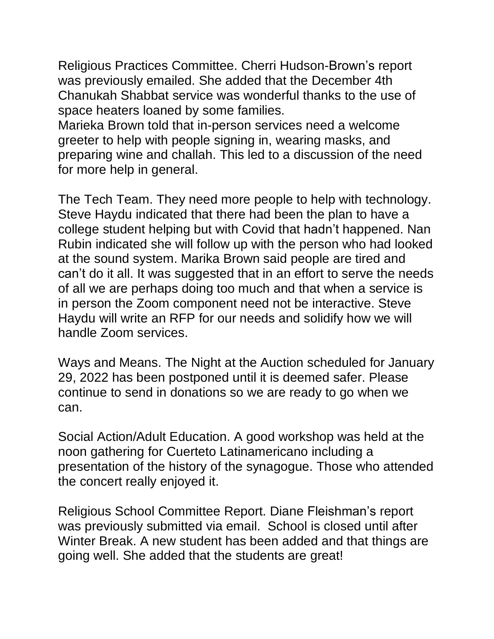Religious Practices Committee. Cherri Hudson-Brown's report was previously emailed. She added that the December 4th Chanukah Shabbat service was wonderful thanks to the use of space heaters loaned by some families.

Marieka Brown told that in-person services need a welcome greeter to help with people signing in, wearing masks, and preparing wine and challah. This led to a discussion of the need for more help in general.

The Tech Team. They need more people to help with technology. Steve Haydu indicated that there had been the plan to have a college student helping but with Covid that hadn't happened. Nan Rubin indicated she will follow up with the person who had looked at the sound system. Marika Brown said people are tired and can't do it all. It was suggested that in an effort to serve the needs of all we are perhaps doing too much and that when a service is in person the Zoom component need not be interactive. Steve Haydu will write an RFP for our needs and solidify how we will handle Zoom services.

Ways and Means. The Night at the Auction scheduled for January 29, 2022 has been postponed until it is deemed safer. Please continue to send in donations so we are ready to go when we can.

Social Action/Adult Education. A good workshop was held at the noon gathering for Cuerteto Latinamericano including a presentation of the history of the synagogue. Those who attended the concert really enjoyed it.

Religious School Committee Report. Diane Fleishman's report was previously submitted via email. School is closed until after Winter Break. A new student has been added and that things are going well. She added that the students are great!